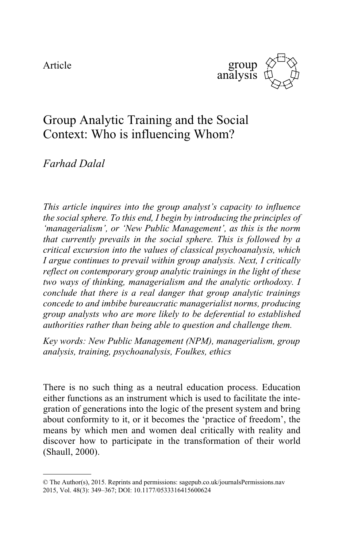Article



# Group Analytic Training and the Social Context: Who is influencing Whom?

## *Farhad Dalal*

*This article inquires into the group analyst's capacity to influence the social sphere. To this end, I begin by introducing the principles of 'managerialism', or 'New Public Management', as this is the norm that currently prevails in the social sphere. This is followed by a critical excursion into the values of classical psychoanalysis, which I argue continues to prevail within group analysis. Next, I critically reflect on contemporary group analytic trainings in the light of these two ways of thinking, managerialism and the analytic orthodoxy. I conclude that there is a real danger that group analytic trainings concede to and imbibe bureaucratic managerialist norms, producing group analysts who are more likely to be deferential to established authorities rather than being able to question and challenge them.*

*Key words: New Public Management (NPM), managerialism, group analysis, training, psychoanalysis, Foulkes, ethics*

There is no such thing as a neutral education process. Education either functions as an instrument which is used to facilitate the integration of generations into the logic of the present system and bring about conformity to it, or it becomes the 'practice of freedom', the means by which men and women deal critically with reality and discover how to participate in the transformation of their world (Shaull, 2000).

<sup>©</sup> The Author(s), 2015. Reprints and permissions: sagepub.co.uk/journalsPermissions.nav 2015, Vol. 48(3): 349–367; DOI: 10.1177/0533316415600624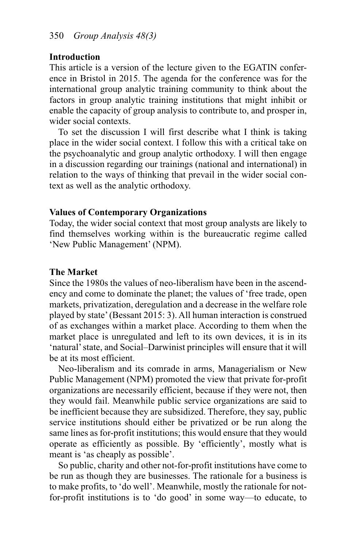## **Introduction**

This article is a version of the lecture given to the EGATIN conference in Bristol in 2015. The agenda for the conference was for the international group analytic training community to think about the factors in group analytic training institutions that might inhibit or enable the capacity of group analysis to contribute to, and prosper in, wider social contexts.

To set the discussion I will first describe what I think is taking place in the wider social context. I follow this with a critical take on the psychoanalytic and group analytic orthodoxy. I will then engage in a discussion regarding our trainings (national and international) in relation to the ways of thinking that prevail in the wider social context as well as the analytic orthodoxy.

## **Values of Contemporary Organizations**

Today, the wider social context that most group analysts are likely to find themselves working within is the bureaucratic regime called 'New Public Management' (NPM).

## **The Market**

Since the 1980s the values of neo-liberalism have been in the ascendency and come to dominate the planet; the values of 'free trade, open markets, privatization, deregulation and a decrease in the welfare role played by state' (Bessant 2015: 3). All human interaction is construed of as exchanges within a market place. According to them when the market place is unregulated and left to its own devices, it is in its 'natural' state, and Social–Darwinist principles will ensure that it will be at its most efficient.

Neo-liberalism and its comrade in arms, Managerialism or New Public Management (NPM) promoted the view that private for-profit organizations are necessarily efficient, because if they were not, then they would fail. Meanwhile public service organizations are said to be inefficient because they are subsidized. Therefore, they say, public service institutions should either be privatized or be run along the same lines as for-profit institutions; this would ensure that they would operate as efficiently as possible. By 'efficiently', mostly what is meant is 'as cheaply as possible'.

So public, charity and other not-for-profit institutions have come to be run as though they are businesses. The rationale for a business is to make profits, to 'do well'. Meanwhile, mostly the rationale for notfor-profit institutions is to 'do good' in some way—to educate, to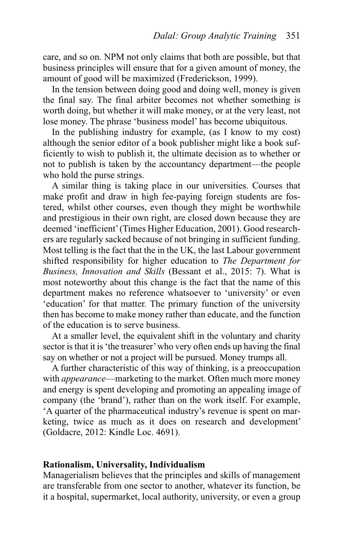care, and so on. NPM not only claims that both are possible, but that business principles will ensure that for a given amount of money, the amount of good will be maximized (Frederickson, 1999).

In the tension between doing good and doing well, money is given the final say. The final arbiter becomes not whether something is worth doing, but whether it will make money, or at the very least, not lose money. The phrase 'business model' has become ubiquitous.

In the publishing industry for example, (as I know to my cost) although the senior editor of a book publisher might like a book sufficiently to wish to publish it, the ultimate decision as to whether or not to publish is taken by the accountancy department—the people who hold the purse strings.

A similar thing is taking place in our universities. Courses that make profit and draw in high fee-paying foreign students are fostered, whilst other courses, even though they might be worthwhile and prestigious in their own right, are closed down because they are deemed 'inefficient' (Times Higher Education, 2001). Good researchers are regularly sacked because of not bringing in sufficient funding. Most telling is the fact that the in the UK, the last Labour government shifted responsibility for higher education to *The Department for Business, Innovation and Skills* (Bessant et al., 2015: 7). What is most noteworthy about this change is the fact that the name of this department makes no reference whatsoever to 'university' or even 'education' for that matter. The primary function of the university then has become to make money rather than educate, and the function of the education is to serve business.

At a smaller level, the equivalent shift in the voluntary and charity sector is that it is 'the treasurer' who very often ends up having the final say on whether or not a project will be pursued. Money trumps all.

A further characteristic of this way of thinking, is a preoccupation with *appearance*—marketing to the market. Often much more money and energy is spent developing and promoting an appealing image of company (the 'brand'), rather than on the work itself. For example, 'A quarter of the pharmaceutical industry's revenue is spent on marketing, twice as much as it does on research and development' (Goldacre, 2012: Kindle Loc. 4691).

#### **Rationalism, Universality, Individualism**

Managerialism believes that the principles and skills of management are transferable from one sector to another, whatever its function, be it a hospital, supermarket, local authority, university, or even a group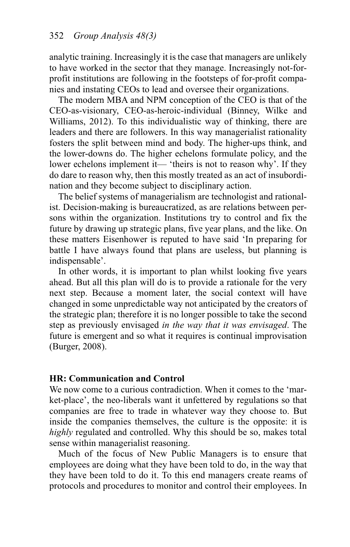analytic training. Increasingly it is the case that managers are unlikely to have worked in the sector that they manage. Increasingly not-forprofit institutions are following in the footsteps of for-profit companies and instating CEOs to lead and oversee their organizations.

The modern MBA and NPM conception of the CEO is that of the CEO-as-visionary, CEO-as-heroic-individual (Binney, Wilke and Williams, 2012). To this individualistic way of thinking, there are leaders and there are followers. In this way managerialist rationality fosters the split between mind and body. The higher-ups think, and the lower-downs do. The higher echelons formulate policy, and the lower echelons implement it— 'theirs is not to reason why'. If they do dare to reason why, then this mostly treated as an act of insubordination and they become subject to disciplinary action.

The belief systems of managerialism are technologist and rationalist. Decision-making is bureaucratized, as are relations between persons within the organization. Institutions try to control and fix the future by drawing up strategic plans, five year plans, and the like. On these matters Eisenhower is reputed to have said 'In preparing for battle I have always found that plans are useless, but planning is indispensable'.

In other words, it is important to plan whilst looking five years ahead. But all this plan will do is to provide a rationale for the very next step. Because a moment later, the social context will have changed in some unpredictable way not anticipated by the creators of the strategic plan; therefore it is no longer possible to take the second step as previously envisaged *in the way that it was envisaged*. The future is emergent and so what it requires is continual improvisation (Burger, 2008).

## **HR: Communication and Control**

We now come to a curious contradiction. When it comes to the 'market-place', the neo-liberals want it unfettered by regulations so that companies are free to trade in whatever way they choose to. But inside the companies themselves, the culture is the opposite: it is *highly* regulated and controlled. Why this should be so, makes total sense within managerialist reasoning.

Much of the focus of New Public Managers is to ensure that employees are doing what they have been told to do, in the way that they have been told to do it. To this end managers create reams of protocols and procedures to monitor and control their employees. In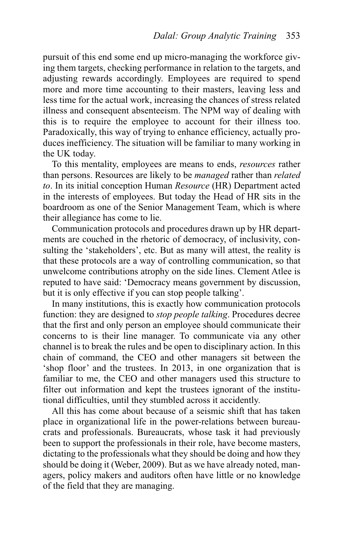pursuit of this end some end up micro-managing the workforce giving them targets, checking performance in relation to the targets, and adjusting rewards accordingly. Employees are required to spend more and more time accounting to their masters, leaving less and less time for the actual work, increasing the chances of stress related illness and consequent absenteeism. The NPM way of dealing with this is to require the employee to account for their illness too. Paradoxically, this way of trying to enhance efficiency, actually produces inefficiency. The situation will be familiar to many working in the UK today.

To this mentality, employees are means to ends, *resources* rather than persons. Resources are likely to be *managed* rather than *related to*. In its initial conception Human *Resource* (HR) Department acted in the interests of employees. But today the Head of HR sits in the boardroom as one of the Senior Management Team, which is where their allegiance has come to lie.

Communication protocols and procedures drawn up by HR departments are couched in the rhetoric of democracy, of inclusivity, consulting the 'stakeholders', etc. But as many will attest, the reality is that these protocols are a way of controlling communication, so that unwelcome contributions atrophy on the side lines. Clement Atlee is reputed to have said: 'Democracy means government by discussion, but it is only effective if you can stop people talking'.

In many institutions, this is exactly how communication protocols function: they are designed to *stop people talking*. Procedures decree that the first and only person an employee should communicate their concerns to is their line manager. To communicate via any other channel is to break the rules and be open to disciplinary action. In this chain of command, the CEO and other managers sit between the 'shop floor' and the trustees. In 2013, in one organization that is familiar to me, the CEO and other managers used this structure to filter out information and kept the trustees ignorant of the institutional difficulties, until they stumbled across it accidently.

All this has come about because of a seismic shift that has taken place in organizational life in the power-relations between bureaucrats and professionals. Bureaucrats, whose task it had previously been to support the professionals in their role, have become masters, dictating to the professionals what they should be doing and how they should be doing it (Weber, 2009). But as we have already noted, managers, policy makers and auditors often have little or no knowledge of the field that they are managing.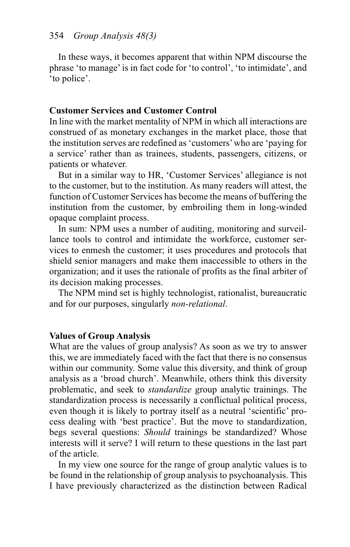In these ways, it becomes apparent that within NPM discourse the phrase 'to manage' is in fact code for 'to control', 'to intimidate', and 'to police'.

## **Customer Services and Customer Control**

In line with the market mentality of NPM in which all interactions are construed of as monetary exchanges in the market place, those that the institution serves are redefined as 'customers' who are 'paying for a service' rather than as trainees, students, passengers, citizens, or patients or whatever.

But in a similar way to HR, 'Customer Services' allegiance is not to the customer, but to the institution. As many readers will attest, the function of Customer Services has become the means of buffering the institution from the customer, by embroiling them in long-winded opaque complaint process.

In sum: NPM uses a number of auditing, monitoring and surveillance tools to control and intimidate the workforce, customer services to enmesh the customer; it uses procedures and protocols that shield senior managers and make them inaccessible to others in the organization; and it uses the rationale of profits as the final arbiter of its decision making processes.

The NPM mind set is highly technologist, rationalist, bureaucratic and for our purposes, singularly *non-relational*.

#### **Values of Group Analysis**

What are the values of group analysis? As soon as we try to answer this, we are immediately faced with the fact that there is no consensus within our community. Some value this diversity, and think of group analysis as a 'broad church'. Meanwhile, others think this diversity problematic, and seek to *standardize* group analytic trainings. The standardization process is necessarily a conflictual political process, even though it is likely to portray itself as a neutral 'scientific' process dealing with 'best practice'. But the move to standardization, begs several questions: *Should* trainings be standardized? Whose interests will it serve? I will return to these questions in the last part of the article.

In my view one source for the range of group analytic values is to be found in the relationship of group analysis to psychoanalysis. This I have previously characterized as the distinction between Radical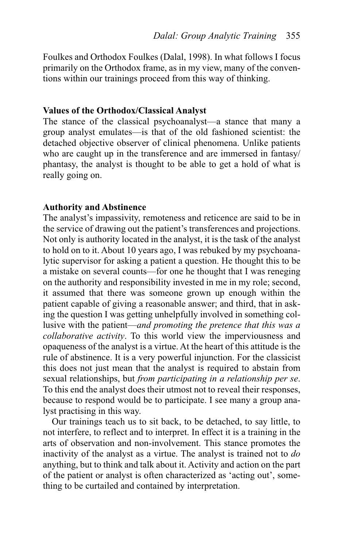Foulkes and Orthodox Foulkes (Dalal, 1998). In what follows I focus primarily on the Orthodox frame, as in my view, many of the conventions within our trainings proceed from this way of thinking.

## **Values of the Orthodox/Classical Analyst**

The stance of the classical psychoanalyst—a stance that many a group analyst emulates—is that of the old fashioned scientist: the detached objective observer of clinical phenomena. Unlike patients who are caught up in the transference and are immersed in fantasy/ phantasy, the analyst is thought to be able to get a hold of what is really going on.

## **Authority and Abstinence**

The analyst's impassivity, remoteness and reticence are said to be in the service of drawing out the patient's transferences and projections. Not only is authority located in the analyst, it is the task of the analyst to hold on to it. About 10 years ago, I was rebuked by my psychoanalytic supervisor for asking a patient a question. He thought this to be a mistake on several counts—for one he thought that I was reneging on the authority and responsibility invested in me in my role; second, it assumed that there was someone grown up enough within the patient capable of giving a reasonable answer; and third, that in asking the question I was getting unhelpfully involved in something collusive with the patient—*and promoting the pretence that this was a collaborative activity*. To this world view the imperviousness and opaqueness of the analyst is a virtue. At the heart of this attitude is the rule of abstinence. It is a very powerful injunction. For the classicist this does not just mean that the analyst is required to abstain from sexual relationships, but *from participating in a relationship per se*. To this end the analyst does their utmost not to reveal their responses, because to respond would be to participate. I see many a group analyst practising in this way.

Our trainings teach us to sit back, to be detached, to say little, to not interfere, to reflect and to interpret. In effect it is a training in the arts of observation and non-involvement. This stance promotes the inactivity of the analyst as a virtue. The analyst is trained not to *do* anything, but to think and talk about it. Activity and action on the part of the patient or analyst is often characterized as 'acting out', something to be curtailed and contained by interpretation.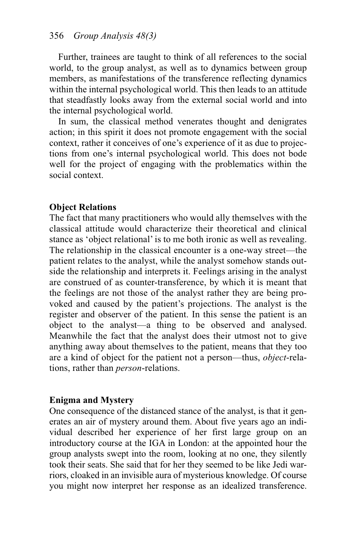Further, trainees are taught to think of all references to the social world, to the group analyst, as well as to dynamics between group members, as manifestations of the transference reflecting dynamics within the internal psychological world. This then leads to an attitude that steadfastly looks away from the external social world and into the internal psychological world.

In sum, the classical method venerates thought and denigrates action; in this spirit it does not promote engagement with the social context, rather it conceives of one's experience of it as due to projections from one's internal psychological world. This does not bode well for the project of engaging with the problematics within the social context.

## **Object Relations**

The fact that many practitioners who would ally themselves with the classical attitude would characterize their theoretical and clinical stance as 'object relational' is to me both ironic as well as revealing. The relationship in the classical encounter is a one-way street—the patient relates to the analyst, while the analyst somehow stands outside the relationship and interprets it. Feelings arising in the analyst are construed of as counter-transference, by which it is meant that the feelings are not those of the analyst rather they are being provoked and caused by the patient's projections. The analyst is the register and observer of the patient. In this sense the patient is an object to the analyst—a thing to be observed and analysed. Meanwhile the fact that the analyst does their utmost not to give anything away about themselves to the patient, means that they too are a kind of object for the patient not a person—thus, *object*-relations, rather than *person*-relations.

#### **Enigma and Mystery**

One consequence of the distanced stance of the analyst, is that it generates an air of mystery around them. About five years ago an individual described her experience of her first large group on an introductory course at the IGA in London: at the appointed hour the group analysts swept into the room, looking at no one, they silently took their seats. She said that for her they seemed to be like Jedi warriors, cloaked in an invisible aura of mysterious knowledge. Of course you might now interpret her response as an idealized transference.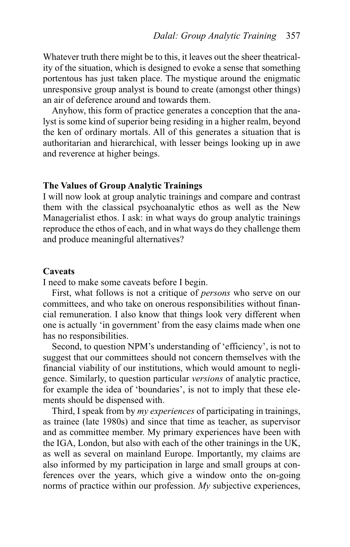Whatever truth there might be to this, it leaves out the sheer theatricality of the situation, which is designed to evoke a sense that something portentous has just taken place. The mystique around the enigmatic unresponsive group analyst is bound to create (amongst other things) an air of deference around and towards them.

Anyhow, this form of practice generates a conception that the analyst is some kind of superior being residing in a higher realm, beyond the ken of ordinary mortals. All of this generates a situation that is authoritarian and hierarchical, with lesser beings looking up in awe and reverence at higher beings.

#### **The Values of Group Analytic Trainings**

I will now look at group analytic trainings and compare and contrast them with the classical psychoanalytic ethos as well as the New Managerialist ethos. I ask: in what ways do group analytic trainings reproduce the ethos of each, and in what ways do they challenge them and produce meaningful alternatives?

#### **Caveats**

I need to make some caveats before I begin.

First, what follows is not a critique of *persons* who serve on our committees, and who take on onerous responsibilities without financial remuneration. I also know that things look very different when one is actually 'in government' from the easy claims made when one has no responsibilities.

Second, to question NPM's understanding of 'efficiency', is not to suggest that our committees should not concern themselves with the financial viability of our institutions, which would amount to negligence. Similarly, to question particular *versions* of analytic practice, for example the idea of 'boundaries', is not to imply that these elements should be dispensed with.

Third, I speak from by *my experiences* of participating in trainings, as trainee (late 1980s) and since that time as teacher, as supervisor and as committee member. My primary experiences have been with the IGA, London, but also with each of the other trainings in the UK, as well as several on mainland Europe. Importantly, my claims are also informed by my participation in large and small groups at conferences over the years, which give a window onto the on-going norms of practice within our profession. *My* subjective experiences,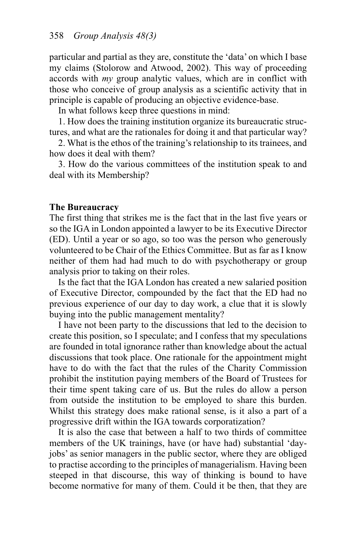particular and partial as they are, constitute the 'data' on which I base my claims (Stolorow and Atwood, 2002). This way of proceeding accords with *my* group analytic values, which are in conflict with those who conceive of group analysis as a scientific activity that in principle is capable of producing an objective evidence-base.

In what follows keep three questions in mind:

1. How does the training institution organize its bureaucratic structures, and what are the rationales for doing it and that particular way?

2. What is the ethos of the training's relationship to its trainees, and how does it deal with them?

3. How do the various committees of the institution speak to and deal with its Membership?

#### **The Bureaucracy**

The first thing that strikes me is the fact that in the last five years or so the IGA in London appointed a lawyer to be its Executive Director (ED). Until a year or so ago, so too was the person who generously volunteered to be Chair of the Ethics Committee. But as far as I know neither of them had had much to do with psychotherapy or group analysis prior to taking on their roles.

Is the fact that the IGA London has created a new salaried position of Executive Director, compounded by the fact that the ED had no previous experience of our day to day work, a clue that it is slowly buying into the public management mentality?

I have not been party to the discussions that led to the decision to create this position, so I speculate; and I confess that my speculations are founded in total ignorance rather than knowledge about the actual discussions that took place. One rationale for the appointment might have to do with the fact that the rules of the Charity Commission prohibit the institution paying members of the Board of Trustees for their time spent taking care of us. But the rules do allow a person from outside the institution to be employed to share this burden. Whilst this strategy does make rational sense, is it also a part of a progressive drift within the IGA towards corporatization?

It is also the case that between a half to two thirds of committee members of the UK trainings, have (or have had) substantial 'dayjobs' as senior managers in the public sector, where they are obliged to practise according to the principles of managerialism. Having been steeped in that discourse, this way of thinking is bound to have become normative for many of them. Could it be then, that they are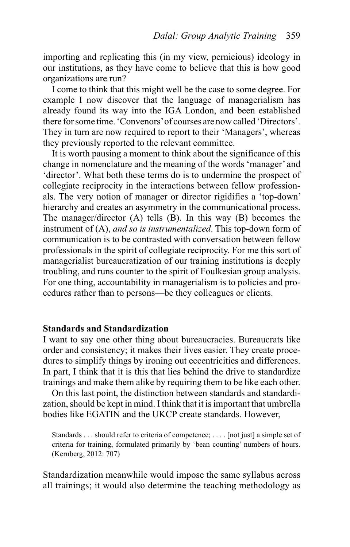importing and replicating this (in my view, pernicious) ideology in our institutions, as they have come to believe that this is how good organizations are run?

I come to think that this might well be the case to some degree. For example I now discover that the language of managerialism has already found its way into the IGA London, and been established there for some time. 'Convenors' of courses are now called 'Directors'. They in turn are now required to report to their 'Managers', whereas they previously reported to the relevant committee.

It is worth pausing a moment to think about the significance of this change in nomenclature and the meaning of the words 'manager' and 'director'. What both these terms do is to undermine the prospect of collegiate reciprocity in the interactions between fellow professionals. The very notion of manager or director rigidifies a 'top-down' hierarchy and creates an asymmetry in the communicational process. The manager/director (A) tells (B). In this way (B) becomes the instrument of (A), *and so is instrumentalized*. This top-down form of communication is to be contrasted with conversation between fellow professionals in the spirit of collegiate reciprocity. For me this sort of managerialist bureaucratization of our training institutions is deeply troubling, and runs counter to the spirit of Foulkesian group analysis. For one thing, accountability in managerialism is to policies and procedures rather than to persons—be they colleagues or clients.

## **Standards and Standardization**

I want to say one other thing about bureaucracies. Bureaucrats like order and consistency; it makes their lives easier. They create procedures to simplify things by ironing out eccentricities and differences. In part, I think that it is this that lies behind the drive to standardize trainings and make them alike by requiring them to be like each other.

On this last point, the distinction between standards and standardization, should be kept in mind. I think that it is important that umbrella bodies like EGATIN and the UKCP create standards. However,

Standards . . . should refer to criteria of competence; . . . . [not just] a simple set of criteria for training, formulated primarily by 'bean counting' numbers of hours. (Kernberg, 2012: 707)

Standardization meanwhile would impose the same syllabus across all trainings; it would also determine the teaching methodology as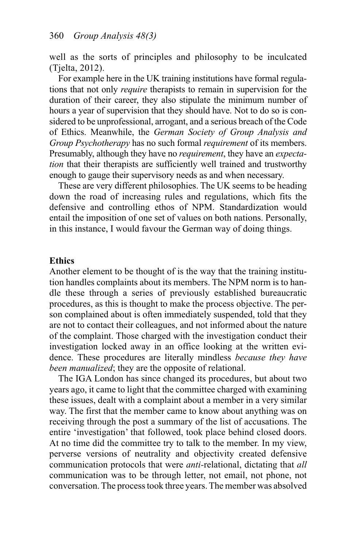well as the sorts of principles and philosophy to be inculcated (Tjelta, 2012).

For example here in the UK training institutions have formal regulations that not only *require* therapists to remain in supervision for the duration of their career, they also stipulate the minimum number of hours a year of supervision that they should have. Not to do so is considered to be unprofessional, arrogant, and a serious breach of the Code of Ethics. Meanwhile, the *German Society of Group Analysis and Group Psychotherapy* has no such formal *requirement* of its members. Presumably, although they have no *requirement*, they have an *expectation* that their therapists are sufficiently well trained and trustworthy enough to gauge their supervisory needs as and when necessary.

These are very different philosophies. The UK seems to be heading down the road of increasing rules and regulations, which fits the defensive and controlling ethos of NPM. Standardization would entail the imposition of one set of values on both nations. Personally, in this instance, I would favour the German way of doing things.

#### **Ethics**

Another element to be thought of is the way that the training institution handles complaints about its members. The NPM norm is to handle these through a series of previously established bureaucratic procedures, as this is thought to make the process objective. The person complained about is often immediately suspended, told that they are not to contact their colleagues, and not informed about the nature of the complaint. Those charged with the investigation conduct their investigation locked away in an office looking at the written evidence. These procedures are literally mindless *because they have been manualized*; they are the opposite of relational.

The IGA London has since changed its procedures, but about two years ago, it came to light that the committee charged with examining these issues, dealt with a complaint about a member in a very similar way. The first that the member came to know about anything was on receiving through the post a summary of the list of accusations. The entire 'investigation' that followed, took place behind closed doors. At no time did the committee try to talk to the member. In my view, perverse versions of neutrality and objectivity created defensive communication protocols that were *anti-*relational, dictating that *all* communication was to be through letter, not email, not phone, not conversation. The process took three years. The member was absolved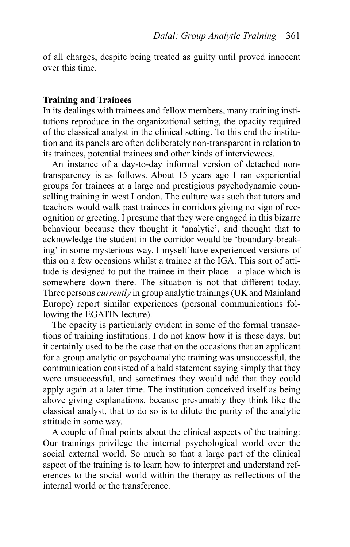of all charges, despite being treated as guilty until proved innocent over this time.

#### **Training and Trainees**

In its dealings with trainees and fellow members, many training institutions reproduce in the organizational setting, the opacity required of the classical analyst in the clinical setting. To this end the institution and its panels are often deliberately non-transparent in relation to its trainees, potential trainees and other kinds of interviewees.

An instance of a day-to-day informal version of detached nontransparency is as follows. About 15 years ago I ran experiential groups for trainees at a large and prestigious psychodynamic counselling training in west London. The culture was such that tutors and teachers would walk past trainees in corridors giving no sign of recognition or greeting. I presume that they were engaged in this bizarre behaviour because they thought it 'analytic', and thought that to acknowledge the student in the corridor would be 'boundary-breaking' in some mysterious way. I myself have experienced versions of this on a few occasions whilst a trainee at the IGA. This sort of attitude is designed to put the trainee in their place—a place which is somewhere down there. The situation is not that different today. Three persons *currently* in group analytic trainings (UK and Mainland Europe) report similar experiences (personal communications following the EGATIN lecture).

The opacity is particularly evident in some of the formal transactions of training institutions. I do not know how it is these days, but it certainly used to be the case that on the occasions that an applicant for a group analytic or psychoanalytic training was unsuccessful, the communication consisted of a bald statement saying simply that they were unsuccessful, and sometimes they would add that they could apply again at a later time. The institution conceived itself as being above giving explanations, because presumably they think like the classical analyst, that to do so is to dilute the purity of the analytic attitude in some way.

A couple of final points about the clinical aspects of the training: Our trainings privilege the internal psychological world over the social external world. So much so that a large part of the clinical aspect of the training is to learn how to interpret and understand references to the social world within the therapy as reflections of the internal world or the transference.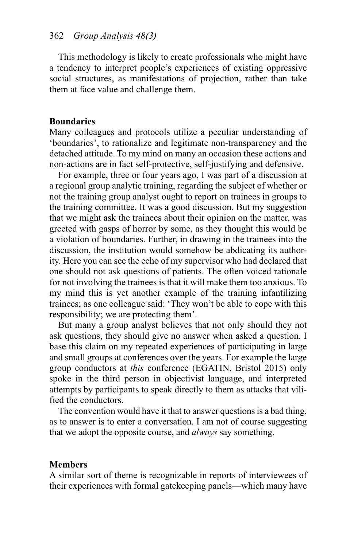#### 362 *Group Analysis 48(3)*

This methodology is likely to create professionals who might have a tendency to interpret people's experiences of existing oppressive social structures, as manifestations of projection, rather than take them at face value and challenge them.

#### **Boundaries**

Many colleagues and protocols utilize a peculiar understanding of 'boundaries', to rationalize and legitimate non-transparency and the detached attitude. To my mind on many an occasion these actions and non-actions are in fact self-protective, self-justifying and defensive.

For example, three or four years ago, I was part of a discussion at a regional group analytic training, regarding the subject of whether or not the training group analyst ought to report on trainees in groups to the training committee. It was a good discussion. But my suggestion that we might ask the trainees about their opinion on the matter, was greeted with gasps of horror by some, as they thought this would be a violation of boundaries. Further, in drawing in the trainees into the discussion, the institution would somehow be abdicating its authority. Here you can see the echo of my supervisor who had declared that one should not ask questions of patients. The often voiced rationale for not involving the trainees is that it will make them too anxious. To my mind this is yet another example of the training infantilizing trainees; as one colleague said: 'They won't be able to cope with this responsibility; we are protecting them'.

But many a group analyst believes that not only should they not ask questions, they should give no answer when asked a question. I base this claim on my repeated experiences of participating in large and small groups at conferences over the years. For example the large group conductors at *this* conference (EGATIN, Bristol 2015) only spoke in the third person in objectivist language, and interpreted attempts by participants to speak directly to them as attacks that vilified the conductors.

The convention would have it that to answer questions is a bad thing, as to answer is to enter a conversation. I am not of course suggesting that we adopt the opposite course, and *always* say something.

#### **Members**

A similar sort of theme is recognizable in reports of interviewees of their experiences with formal gatekeeping panels—which many have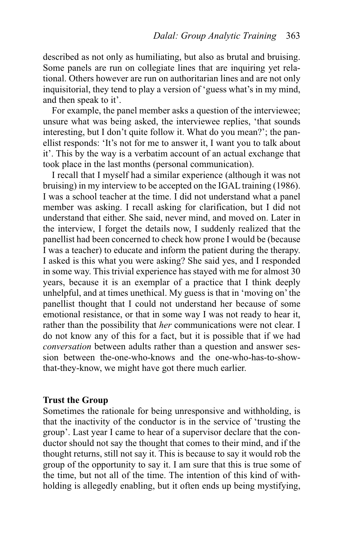described as not only as humiliating, but also as brutal and bruising. Some panels are run on collegiate lines that are inquiring yet relational. Others however are run on authoritarian lines and are not only inquisitorial, they tend to play a version of 'guess what's in my mind, and then speak to it'.

For example, the panel member asks a question of the interviewee; unsure what was being asked, the interviewee replies, 'that sounds interesting, but I don't quite follow it. What do you mean?'; the panellist responds: 'It's not for me to answer it, I want you to talk about it'. This by the way is a verbatim account of an actual exchange that took place in the last months (personal communication).

I recall that I myself had a similar experience (although it was not bruising) in my interview to be accepted on the IGAL training (1986). I was a school teacher at the time. I did not understand what a panel member was asking. I recall asking for clarification, but I did not understand that either. She said, never mind, and moved on. Later in the interview, I forget the details now, I suddenly realized that the panellist had been concerned to check how prone I would be (because I was a teacher) to educate and inform the patient during the therapy. I asked is this what you were asking? She said yes, and I responded in some way. This trivial experience has stayed with me for almost 30 years, because it is an exemplar of a practice that I think deeply unhelpful, and at times unethical. My guess is that in 'moving on' the panellist thought that I could not understand her because of some emotional resistance, or that in some way I was not ready to hear it, rather than the possibility that *her* communications were not clear. I do not know any of this for a fact, but it is possible that if we had *conversation* between adults rather than a question and answer session between the-one-who-knows and the one-who-has-to-showthat-they-know, we might have got there much earlier.

#### **Trust the Group**

Sometimes the rationale for being unresponsive and withholding, is that the inactivity of the conductor is in the service of 'trusting the group'. Last year I came to hear of a supervisor declare that the conductor should not say the thought that comes to their mind, and if the thought returns, still not say it. This is because to say it would rob the group of the opportunity to say it. I am sure that this is true some of the time, but not all of the time. The intention of this kind of withholding is allegedly enabling, but it often ends up being mystifying,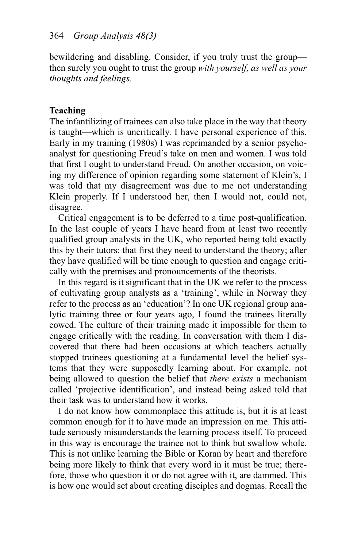bewildering and disabling. Consider, if you truly trust the group then surely you ought to trust the group *with yourself, as well as your thoughts and feelings.*

## **Teaching**

The infantilizing of trainees can also take place in the way that theory is taught—which is uncritically. I have personal experience of this. Early in my training (1980s) I was reprimanded by a senior psychoanalyst for questioning Freud's take on men and women. I was told that first I ought to understand Freud. On another occasion, on voicing my difference of opinion regarding some statement of Klein's, I was told that my disagreement was due to me not understanding Klein properly. If I understood her, then I would not, could not, disagree.

Critical engagement is to be deferred to a time post-qualification. In the last couple of years I have heard from at least two recently qualified group analysts in the UK, who reported being told exactly this by their tutors: that first they need to understand the theory; after they have qualified will be time enough to question and engage critically with the premises and pronouncements of the theorists.

In this regard is it significant that in the UK we refer to the process of cultivating group analysts as a 'training', while in Norway they refer to the process as an 'education'? In one UK regional group analytic training three or four years ago, I found the trainees literally cowed. The culture of their training made it impossible for them to engage critically with the reading. In conversation with them I discovered that there had been occasions at which teachers actually stopped trainees questioning at a fundamental level the belief systems that they were supposedly learning about. For example, not being allowed to question the belief that *there exists* a mechanism called 'projective identification', and instead being asked told that their task was to understand how it works.

I do not know how commonplace this attitude is, but it is at least common enough for it to have made an impression on me. This attitude seriously misunderstands the learning process itself. To proceed in this way is encourage the trainee not to think but swallow whole. This is not unlike learning the Bible or Koran by heart and therefore being more likely to think that every word in it must be true; therefore, those who question it or do not agree with it, are dammed. This is how one would set about creating disciples and dogmas. Recall the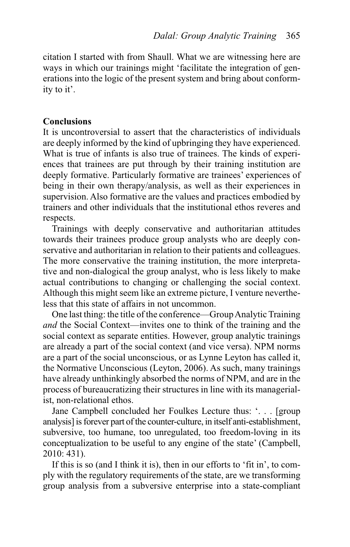citation I started with from Shaull. What we are witnessing here are ways in which our trainings might 'facilitate the integration of generations into the logic of the present system and bring about conformity to it'.

## **Conclusions**

It is uncontroversial to assert that the characteristics of individuals are deeply informed by the kind of upbringing they have experienced. What is true of infants is also true of trainees. The kinds of experiences that trainees are put through by their training institution are deeply formative. Particularly formative are trainees' experiences of being in their own therapy/analysis, as well as their experiences in supervision. Also formative are the values and practices embodied by trainers and other individuals that the institutional ethos reveres and respects.

Trainings with deeply conservative and authoritarian attitudes towards their trainees produce group analysts who are deeply conservative and authoritarian in relation to their patients and colleagues. The more conservative the training institution, the more interpretative and non-dialogical the group analyst, who is less likely to make actual contributions to changing or challenging the social context. Although this might seem like an extreme picture, I venture nevertheless that this state of affairs in not uncommon.

One last thing: the title of the conference—Group Analytic Training *and* the Social Context—invites one to think of the training and the social context as separate entities. However, group analytic trainings are already a part of the social context (and vice versa). NPM norms are a part of the social unconscious, or as Lynne Leyton has called it, the Normative Unconscious (Leyton, 2006). As such, many trainings have already unthinkingly absorbed the norms of NPM, and are in the process of bureaucratizing their structures in line with its managerialist, non-relational ethos.

Jane Campbell concluded her Foulkes Lecture thus: '. . . [group analysis] is forever part of the counter-culture, in itself anti-establishment, subversive, too humane, too unregulated, too freedom-loving in its conceptualization to be useful to any engine of the state' (Campbell, 2010: 431).

If this is so (and I think it is), then in our efforts to 'fit in', to comply with the regulatory requirements of the state, are we transforming group analysis from a subversive enterprise into a state-compliant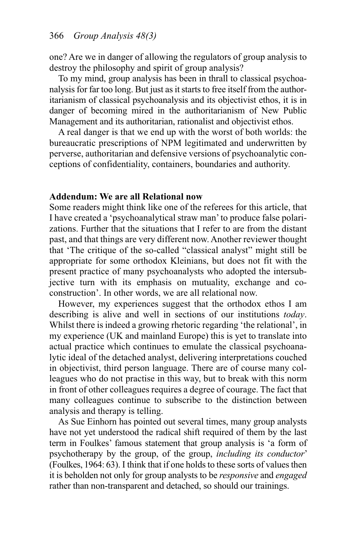one? Are we in danger of allowing the regulators of group analysis to destroy the philosophy and spirit of group analysis?

To my mind, group analysis has been in thrall to classical psychoanalysis for far too long. But just as it starts to free itself from the authoritarianism of classical psychoanalysis and its objectivist ethos, it is in danger of becoming mired in the authoritarianism of New Public Management and its authoritarian, rationalist and objectivist ethos.

A real danger is that we end up with the worst of both worlds: the bureaucratic prescriptions of NPM legitimated and underwritten by perverse, authoritarian and defensive versions of psychoanalytic conceptions of confidentiality, containers, boundaries and authority.

## **Addendum: We are all Relational now**

Some readers might think like one of the referees for this article, that I have created a 'psychoanalytical straw man' to produce false polarizations. Further that the situations that I refer to are from the distant past, and that things are very different now. Another reviewer thought that 'The critique of the so-called "classical analyst" might still be appropriate for some orthodox Kleinians, but does not fit with the present practice of many psychoanalysts who adopted the intersubjective turn with its emphasis on mutuality, exchange and coconstruction'. In other words, we are all relational now.

However, my experiences suggest that the orthodox ethos I am describing is alive and well in sections of our institutions *today*. Whilst there is indeed a growing rhetoric regarding 'the relational', in my experience (UK and mainland Europe) this is yet to translate into actual practice which continues to emulate the classical psychoanalytic ideal of the detached analyst, delivering interpretations couched in objectivist, third person language. There are of course many colleagues who do not practise in this way, but to break with this norm in front of other colleagues requires a degree of courage. The fact that many colleagues continue to subscribe to the distinction between analysis and therapy is telling.

As Sue Einhorn has pointed out several times, many group analysts have not yet understood the radical shift required of them by the last term in Foulkes' famous statement that group analysis is 'a form of psychotherapy by the group, of the group, *including its conductor*' (Foulkes, 1964: 63). I think that if one holds to these sorts of values then it is beholden not only for group analysts to be *responsive* and *engaged* rather than non-transparent and detached, so should our trainings.